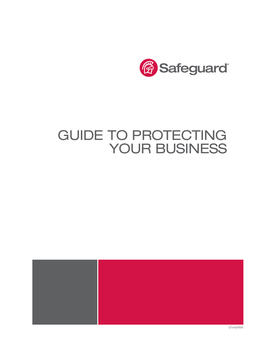

# GUIDE TO PROTECTING YOUR BUSINESS



GT44GPBW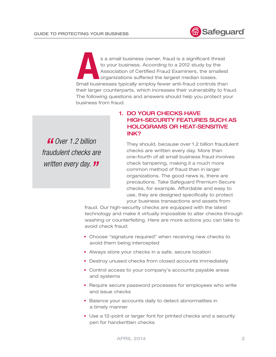

s a small business owner, fraud is a significant threat to your business. According to a 2012 study by the Association of Certified Fraud Examiners, the smallest organizations suffered the largest median losses.<br>Small busi to your business. According to a 2012 study by the Association of Certified Fraud Examiners, the smallest organizations suffered the largest median losses. their larger counterparts, which increases their vulnerability to fraud. The following questions and answers should help you protect your business from fraud.

*" Over 1.2 billion fraudulent checks are written every day. "* 

# 1. DO YOUR CHECKS HAVE HIGH-SECURITY FEATURES SUCH AS HOLOGRAMS OR HEAT-SENSITIVE INK?

They should, because over 1.2 billion fraudulent checks are written every day. More than one-fourth of all small business fraud involves check tampering, making it a much more common method of fraud than in larger organizations. The good news is, there are precautions. Take Safeguard Premium Secure checks, for example. Affordable and easy to use, they are designed specifically to protect your business transactions and assets from

fraud. Our high-security checks are equipped with the latest technology and make it virtually impossible to alter checks through washing or counterfeiting. Here are more actions you can take to avoid check fraud:

- Choose "signature required" when receiving new checks to avoid them being intercepted
- Always store your checks in a safe, secure location
- Destroy unused checks from closed accounts immediately
- Control access to your company's accounts payable areas and systems
- Require secure password processes for employees who write and issue checks
- Balance your accounts daily to detect abnormalities in a timely manner
- Use a 12-point or larger font for printed checks and a security pen for handwritten checks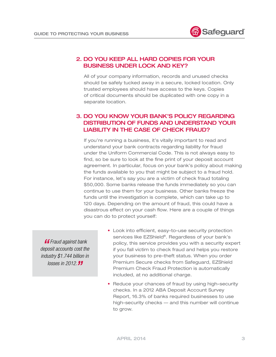

### 2. DO YOU KEEP ALL HARD COPIES FOR YOUR BUSINESS UNDER LOCK AND KEY?

All of your company information, records and unused checks should be safely tucked away in a secure, locked location. Only trusted employees should have access to the keys. Copies of critical documents should be duplicated with one copy in a separate location.

# 3. DO YOU KNOW YOUR BANK'S POLICY REGARDING DISTRIBUTION OF FUNDS AND UNDERSTAND YOUR LIABILITY IN THE CASE OF CHECK FRAUD?

If you're running a business, it's vitally important to read and understand your bank contracts regarding liability for fraud under the Uniform Commercial Code. This is not always easy to find, so be sure to look at the fine print of your deposit account agreement. In particular, focus on your bank's policy about making the funds available to you that might be subject to a fraud hold. For instance, let's say you are a victim of check fraud totaling \$50,000. Some banks release the funds immediately so you can continue to use them for your business. Other banks freeze the funds until the investigation is complete, which can take up to 120 days. Depending on the amount of fraud, this could have a disastrous effect on your cash flow. Here are a couple of things you can do to protect yourself:

*"Fraud against bank deposit accounts cost the industry \$1.744 billion in losses in 2012."*

- Look into efficient, easy-to-use security protection services like EZShield®. Regardless of your bank's policy, this service provides you with a security expert if you fall victim to check fraud and helps you restore your business to pre-theft status. When you order Premium Secure checks from Safeguard, EZShield Premium Check Fraud Protection is automatically included, at no additional charge.
- Reduce your chances of fraud by using high-security checks. In a 2012 ABA Deposit Account Survey Report, 16.3% of banks required businesses to use high-security checks — and this number will continue to grow.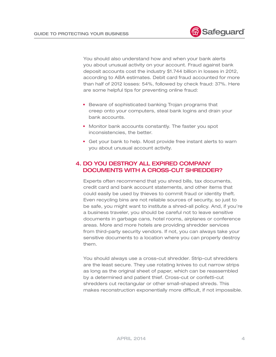

You should also understand how and when your bank alerts you about unusual activity on your account. Fraud against bank deposit accounts cost the industry \$1.744 billion in losses in 2012, according to ABA estimates. Debit card fraud accounted for more than half of 2012 losses: 54%, followed by check fraud: 37%. Here are some helpful tips for preventing online fraud:

- Beware of sophisticated banking Trojan programs that creep onto your computers, steal bank logins and drain your bank accounts.
- Monitor bank accounts constantly. The faster you spot inconsistencies, the better.
- Get your bank to help. Most provide free instant alerts to warn you about unusual account activity.

# 4. DO YOU DESTROY ALL EXPIRED COMPANY DOCUMENTS WITH A CROSS-CUT SHREDDER?

Experts often recommend that you shred bills, tax documents, credit card and bank account statements, and other items that could easily be used by thieves to commit fraud or identity theft. Even recycling bins are not reliable sources of security, so just to be safe, you might want to institute a shred-all policy. And, if you're a business traveler, you should be careful not to leave sensitive documents in garbage cans, hotel rooms, airplanes or conference areas. More and more hotels are providing shredder services from third-party security vendors. If not, you can always take your sensitive documents to a location where you can properly destroy them.

You should always use a cross-cut shredder. Strip-cut shredders are the least secure. They use rotating knives to cut narrow strips as long as the original sheet of paper, which can be reassembled by a determined and patient thief. Cross-cut or confetti-cut shredders cut rectangular or other small-shaped shreds. This makes reconstruction exponentially more difficult, if not impossible.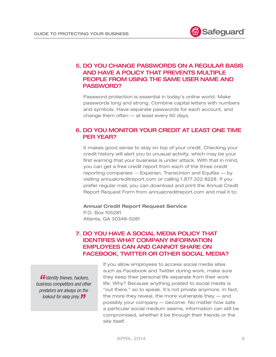

# 5. DO YOU CHANGE PASSWORDS ON A REGULAR BASIS AND HAVE A POLICY THAT PREVENTS MULTIPLE PEOPLE FROM USING THE SAME USER NAME AND PASSWORD?

Password protection is essential in today's online world. Make passwords long and strong. Combine capital letters with numbers and symbols. Have separate passwords for each account, and change them often — at least every 60 days.

### 6. DO YOU MONITOR YOUR CREDIT AT LEAST ONE TIME PER YEAR?

It makes good sense to stay on top of your credit. Checking your credit history will alert you to unusual activity, which may be your first warning that your business is under attack. With that in mind, you can get a free credit report from each of the three credit reporting companies — Experian, TransUnion and Equifax — by visiting annualcreditreport.com or calling 1.877.322.8228. If you prefer regular mail, you can download and print the Annual Credit Report Request Form from annualcreditreport.com and mail it to:

# **Annual Credit Report Request Service**

P.O. Box 105281 Atlanta, GA 30348-5281

# 7. DO YOU HAVE A SOCIAL MEDIA POLICY THAT IDENTIFIES WHAT COMPANY INFORMATION EMPLOYEES CAN AND CANNOT SHARE ON FACEBOOK, TWITTER OR OTHER SOCIAL MEDIA?

*"Identity thieves, hackers, business competitors and other predators are always on the lookout for easy prey."*

If you allow employees to access social media sites such as Facebook and Twitter during work, make sure they keep their personal life separate from their work life. Why? Because anything posted to social media is "out there," so to speak. It's not private anymore. In fact, the more they reveal, the more vulnerable they — and possibly your company — become. No matter how safe a particular social medium seems, information can still be compromised, whether it be through their friends or the site itself.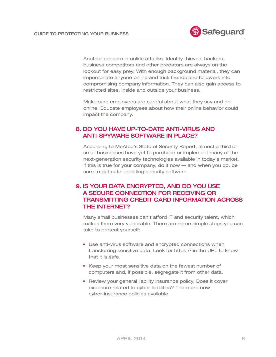Another concern is online attacks. Identity thieves, hackers, business competitors and other predators are always on the lookout for easy prey. With enough background material, they can impersonate anyone online and trick friends and followers into compromising company information. They can also gain access to restricted sites, inside and outside your business.

Make sure employees are careful about what they say and do online. Educate employees about how their online behavior could impact the company.

### 8. DO YOU HAVE UP-TO-DATE ANTI-VIRUS AND ANTI-SPYWARE SOFTWARE IN PLACE?

According to McAfee's State of Security Report, almost a third of small businesses have yet to purchase or implement many of the next-generation security technologies available in today's market. If this is true for your company, do it now — and when you do, be sure to get auto-updating security software.

# 9. IS YOUR DATA ENCRYPTED, AND DO YOU USE A SECURE CONNECTION FOR RECEIVING OR TRANSMITTING CREDIT CARD INFORMATION ACROSS THE INTERNET?

Many small businesses can't afford IT and security talent, which makes them very vulnerable. There are some simple steps you can take to protect yourself:

- Use anti-virus software and encrypted connections when transferring sensitive data. Look for https:// in the URL to know that it is safe.
- Keep your most sensitive data on the fewest number of computers and, if possible, segregate it from other data.
- Review your general liability insurance policy. Does it cover exposure related to cyber liabilities? There are now cyber-insurance policies available.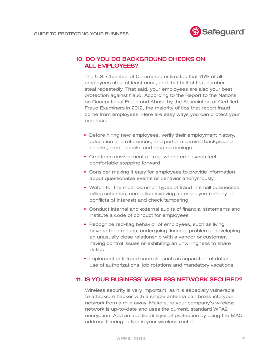

### 10. DO YOU DO BACKGROUND CHECKS ON **ALL EMPLOYEES?**

The U.S. Chamber of Commerce estimates that 75% of all employees steal at least once, and that half of that number steal repeatedly. That said, your employees are also your best protection against fraud. According to the Report to the Nations on Occupational Fraud and Abuse by the Association of Certified Fraud Examiners in 2012, the majority of tips that report fraud come from employees. Here are easy ways you can protect your business:

- Before hiring new employees, verify their employment history, education and references, and perform criminal background checks, credit checks and drug screenings
- Create an environment of trust where employees feel comfortable stepping forward
- Consider making it easy for employees to provide information about questionable events or behavior anonymously
- Watch for the most common types of fraud in small businesses: billing schemes, corruption involving an employee (bribery or conflicts of interest) and check tampering
- Conduct internal and external audits of financial statements and institute a code of conduct for employees
- Recognize red-flag behavior of employees, such as living beyond their means, undergoing financial problems, developing an unusually close relationship with a vendor or customer, having control issues or exhibiting an unwillingness to share duties
- Implement anti-fraud controls, such as separation of duties, use of authorizations, job rotations and mandatory vacations

#### 11. IS YOUR BUSINESS' WIRELESS NETWORK SECURED?

Wireless security is very important, as it is especially vulnerable to attacks. A hacker with a simple antenna can break into your network from a mile away. Make sure your company's wireless network is up-to-date and uses the current, standard WPA2 encryption. Add an additional layer of protection by using the MAC address filtering option in your wireless router.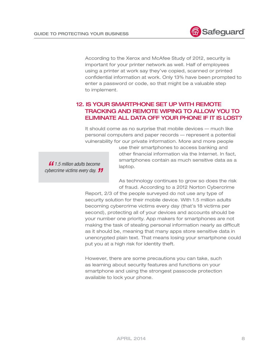

According to the Xerox and McAfee Study of 2012, security is important for your printer network as well. Half of employees using a printer at work say they've copied, scanned or printed confidential information at work. Only 13% have been prompted to enter a password or code, so that might be a valuable step to implement.

# 12. IS YOUR SMARTPHONE SET UP WITH REMOTE TRACKING AND REMOTE WIPING TO ALLOW YOU TO ELIMINATE ALL DATA OFF YOUR PHONE IF IT IS LOST?

It should come as no surprise that mobile devices — much like personal computers and paper records — represent a potential vulnerability for our private information. More and more people

> use their smartphones to access banking and other financial information via the Internet. In fact, smartphones contain as much sensitive data as a laptop.

*" 1.5 million adults become cybercrime victims every day."*

> As technology continues to grow so does the risk of fraud. According to a 2012 Norton Cybercrime

Report, 2/3 of the people surveyed do not use any type of security solution for their mobile device. With 1.5 million adults becoming cybercrime victims every day (that's 18 victims per second), protecting all of your devices and accounts should be your number one priority. App makers for smartphones are not making the task of stealing personal information nearly as difficult as it should be, meaning that many apps store sensitive data in unencrypted plain text. That means losing your smartphone could put you at a high risk for identity theft.

However, there are some precautions you can take, such as learning about security features and functions on your smartphone and using the strongest passcode protection available to lock your phone.